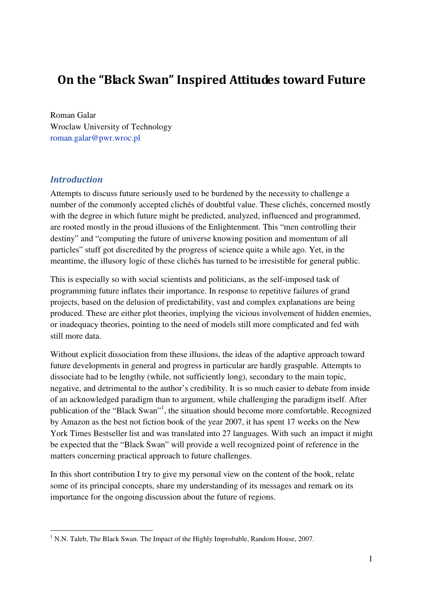# On the "Black Swan" Inspired Attitudes toward Future

Roman Galar Wroclaw University of Technology roman.galar@pwr.wroc.pl

# Introduction

 $\overline{a}$ 

Attempts to discuss future seriously used to be burdened by the necessity to challenge a number of the commonly accepted clichés of doubtful value. These clichés, concerned mostly with the degree in which future might be predicted, analyzed, influenced and programmed, are rooted mostly in the proud illusions of the Enlightenment. This "men controlling their destiny" and "computing the future of universe knowing position and momentum of all particles" stuff got discredited by the progress of science quite a while ago. Yet, in the meantime, the illusory logic of these clichés has turned to be irresistible for general public.

This is especially so with social scientists and politicians, as the self-imposed task of programming future inflates their importance. In response to repetitive failures of grand projects, based on the delusion of predictability, vast and complex explanations are being produced. These are either plot theories, implying the vicious involvement of hidden enemies, or inadequacy theories, pointing to the need of models still more complicated and fed with still more data.

Without explicit dissociation from these illusions, the ideas of the adaptive approach toward future developments in general and progress in particular are hardly graspable. Attempts to dissociate had to be lengthy (while, not sufficiently long), secondary to the main topic, negative, and detrimental to the author's credibility. It is so much easier to debate from inside of an acknowledged paradigm than to argument, while challenging the paradigm itself. After publication of the "Black Swan"<sup>1</sup>, the situation should become more comfortable. Recognized by Amazon as the best not fiction book of the year 2007, it has spent 17 weeks on the New York Times Bestseller list and was translated into 27 languages. With such an impact it might be expected that the "Black Swan" will provide a well recognized point of reference in the matters concerning practical approach to future challenges.

In this short contribution I try to give my personal view on the content of the book, relate some of its principal concepts, share my understanding of its messages and remark on its importance for the ongoing discussion about the future of regions.

 $1$  N.N. Taleb, The Black Swan. The Impact of the Highly Improbable, Random House, 2007.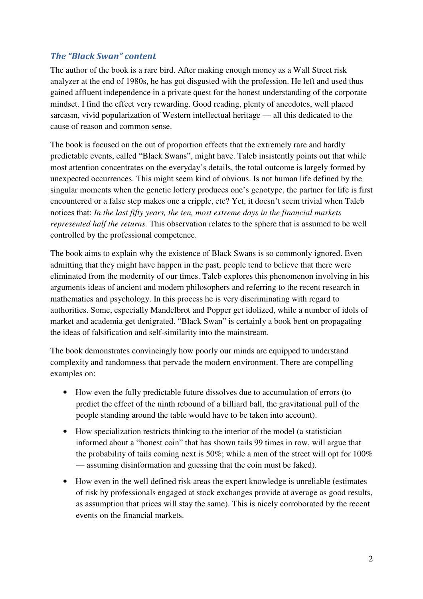# The "Black Swan" content

The author of the book is a rare bird. After making enough money as a Wall Street risk analyzer at the end of 1980s, he has got disgusted with the profession. He left and used thus gained affluent independence in a private quest for the honest understanding of the corporate mindset. I find the effect very rewarding. Good reading, plenty of anecdotes, well placed sarcasm, vivid popularization of Western intellectual heritage — all this dedicated to the cause of reason and common sense.

The book is focused on the out of proportion effects that the extremely rare and hardly predictable events, called "Black Swans", might have. Taleb insistently points out that while most attention concentrates on the everyday's details, the total outcome is largely formed by unexpected occurrences. This might seem kind of obvious. Is not human life defined by the singular moments when the genetic lottery produces one's genotype, the partner for life is first encountered or a false step makes one a cripple, etc? Yet, it doesn't seem trivial when Taleb notices that: *In the last fifty years, the ten, most extreme days in the financial markets represented half the returns.* This observation relates to the sphere that is assumed to be well controlled by the professional competence.

The book aims to explain why the existence of Black Swans is so commonly ignored. Even admitting that they might have happen in the past, people tend to believe that there were eliminated from the modernity of our times. Taleb explores this phenomenon involving in his arguments ideas of ancient and modern philosophers and referring to the recent research in mathematics and psychology. In this process he is very discriminating with regard to authorities. Some, especially Mandelbrot and Popper get idolized, while a number of idols of market and academia get denigrated. "Black Swan" is certainly a book bent on propagating the ideas of falsification and self-similarity into the mainstream.

The book demonstrates convincingly how poorly our minds are equipped to understand complexity and randomness that pervade the modern environment. There are compelling examples on:

- How even the fully predictable future dissolves due to accumulation of errors (to predict the effect of the ninth rebound of a billiard ball, the gravitational pull of the people standing around the table would have to be taken into account).
- How specialization restricts thinking to the interior of the model (a statistician informed about a "honest coin" that has shown tails 99 times in row, will argue that the probability of tails coming next is 50%; while a men of the street will opt for 100% — assuming disinformation and guessing that the coin must be faked).
- How even in the well defined risk areas the expert knowledge is unreliable (estimates of risk by professionals engaged at stock exchanges provide at average as good results, as assumption that prices will stay the same). This is nicely corroborated by the recent events on the financial markets.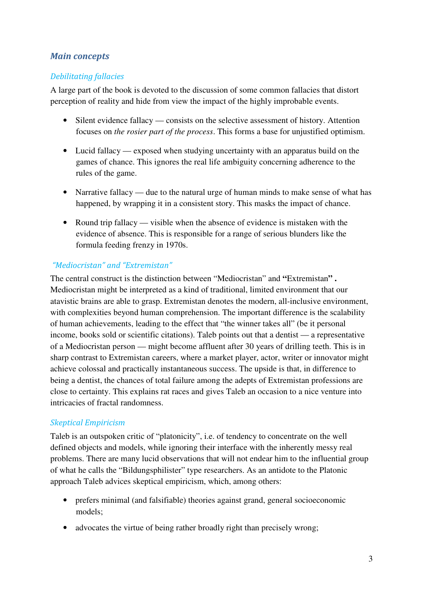# Main concepts

#### Debilitating fallacies

A large part of the book is devoted to the discussion of some common fallacies that distort perception of reality and hide from view the impact of the highly improbable events.

- Silent evidence fallacy consists on the selective assessment of history. Attention focuses on *the rosier part of the process*. This forms a base for unjustified optimism.
- Lucid fallacy exposed when studying uncertainty with an apparatus build on the games of chance. This ignores the real life ambiguity concerning adherence to the rules of the game.
- Narrative fallacy due to the natural urge of human minds to make sense of what has happened, by wrapping it in a consistent story. This masks the impact of chance.
- Round trip fallacy visible when the absence of evidence is mistaken with the evidence of absence. This is responsible for a range of serious blunders like the formula feeding frenzy in 1970s.

#### "Mediocristan" and "Extremistan"

The central construct is the distinction between "Mediocristan" and **"**Extremistan**" .** Mediocristan might be interpreted as a kind of traditional, limited environment that our atavistic brains are able to grasp. Extremistan denotes the modern, all-inclusive environment, with complexities beyond human comprehension. The important difference is the scalability of human achievements, leading to the effect that "the winner takes all" (be it personal income, books sold or scientific citations). Taleb points out that a dentist — a representative of a Mediocristan person — might become affluent after 30 years of drilling teeth. This is in sharp contrast to Extremistan careers, where a market player, actor, writer or innovator might achieve colossal and practically instantaneous success. The upside is that, in difference to being a dentist, the chances of total failure among the adepts of Extremistan professions are close to certainty. This explains rat races and gives Taleb an occasion to a nice venture into intricacies of fractal randomness.

#### Skeptical Empiricism

Taleb is an outspoken critic of "platonicity", i.e. of tendency to concentrate on the well defined objects and models, while ignoring their interface with the inherently messy real problems. There are many lucid observations that will not endear him to the influential group of what he calls the "Bildungsphilister" type researchers. As an antidote to the Platonic approach Taleb advices skeptical empiricism, which, among others:

- prefers minimal (and falsifiable) theories against grand, general socioeconomic models;
- advocates the virtue of being rather broadly right than precisely wrong;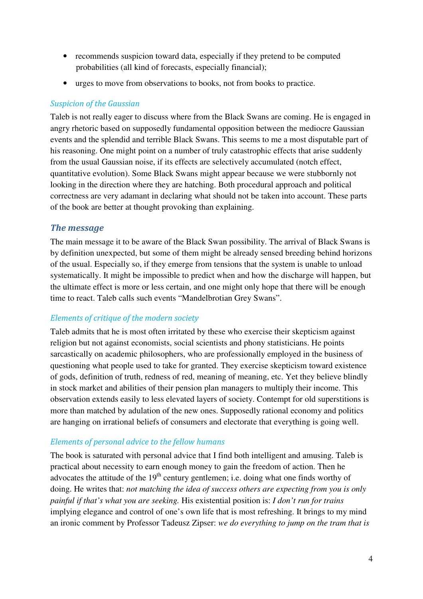- recommends suspicion toward data, especially if they pretend to be computed probabilities (all kind of forecasts, especially financial);
- urges to move from observations to books, not from books to practice.

#### Suspicion of the Gaussian

Taleb is not really eager to discuss where from the Black Swans are coming. He is engaged in angry rhetoric based on supposedly fundamental opposition between the mediocre Gaussian events and the splendid and terrible Black Swans. This seems to me a most disputable part of his reasoning. One might point on a number of truly catastrophic effects that arise suddenly from the usual Gaussian noise, if its effects are selectively accumulated (notch effect, quantitative evolution). Some Black Swans might appear because we were stubbornly not looking in the direction where they are hatching. Both procedural approach and political correctness are very adamant in declaring what should not be taken into account. These parts of the book are better at thought provoking than explaining.

#### The message

The main message it to be aware of the Black Swan possibility. The arrival of Black Swans is by definition unexpected, but some of them might be already sensed breeding behind horizons of the usual. Especially so, if they emerge from tensions that the system is unable to unload systematically. It might be impossible to predict when and how the discharge will happen, but the ultimate effect is more or less certain, and one might only hope that there will be enough time to react. Taleb calls such events "Mandelbrotian Grey Swans".

#### Elements of critique of the modern society

Taleb admits that he is most often irritated by these who exercise their skepticism against religion but not against economists, social scientists and phony statisticians. He points sarcastically on academic philosophers, who are professionally employed in the business of questioning what people used to take for granted. They exercise skepticism toward existence of gods, definition of truth, redness of red, meaning of meaning, etc. Yet they believe blindly in stock market and abilities of their pension plan managers to multiply their income. This observation extends easily to less elevated layers of society. Contempt for old superstitions is more than matched by adulation of the new ones. Supposedly rational economy and politics are hanging on irrational beliefs of consumers and electorate that everything is going well.

#### Elements of personal advice to the fellow humans

The book is saturated with personal advice that I find both intelligent and amusing. Taleb is practical about necessity to earn enough money to gain the freedom of action. Then he advocates the attitude of the  $19<sup>th</sup>$  century gentlemen; i.e. doing what one finds worthy of doing. He writes that: *not matching the idea of success others are expecting from you is only painful if that's what you are seeking.* His existential position is: *I don't run for trains*  implying elegance and control of one's own life that is most refreshing. It brings to my mind an ironic comment by Professor Tadeusz Zipser: *we do everything to jump on the tram that is*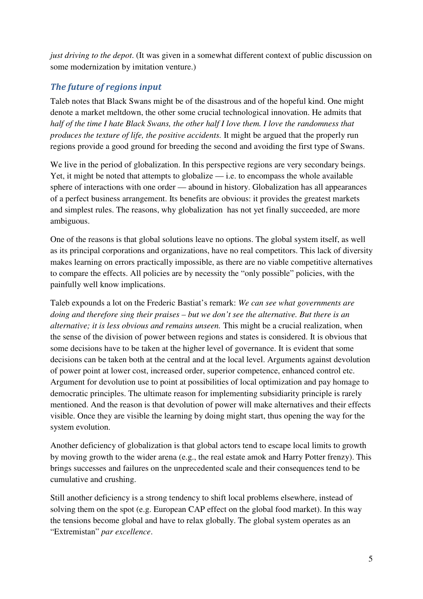*just driving to the depot*. (It was given in a somewhat different context of public discussion on some modernization by imitation venture.)

# The future of regions input

Taleb notes that Black Swans might be of the disastrous and of the hopeful kind. One might denote a market meltdown, the other some crucial technological innovation. He admits that *half of the time I hate Black Swans, the other half I love them. I love the randomness that produces the texture of life, the positive accidents.* It might be argued that the properly run regions provide a good ground for breeding the second and avoiding the first type of Swans.

We live in the period of globalization. In this perspective regions are very secondary beings. Yet, it might be noted that attempts to globalize  $-$  i.e. to encompass the whole available sphere of interactions with one order — abound in history. Globalization has all appearances of a perfect business arrangement. Its benefits are obvious: it provides the greatest markets and simplest rules. The reasons, why globalization has not yet finally succeeded, are more ambiguous.

One of the reasons is that global solutions leave no options. The global system itself, as well as its principal corporations and organizations, have no real competitors. This lack of diversity makes learning on errors practically impossible, as there are no viable competitive alternatives to compare the effects. All policies are by necessity the "only possible" policies, with the painfully well know implications.

Taleb expounds a lot on the Frederic Bastiat's remark: *We can see what governments are doing and therefore sing their praises – but we don't see the alternative. But there is an alternative; it is less obvious and remains unseen.* This might be a crucial realization, when the sense of the division of power between regions and states is considered. It is obvious that some decisions have to be taken at the higher level of governance. It is evident that some decisions can be taken both at the central and at the local level. Arguments against devolution of power point at lower cost, increased order, superior competence, enhanced control etc. Argument for devolution use to point at possibilities of local optimization and pay homage to democratic principles. The ultimate reason for implementing subsidiarity principle is rarely mentioned. And the reason is that devolution of power will make alternatives and their effects visible. Once they are visible the learning by doing might start, thus opening the way for the system evolution.

Another deficiency of globalization is that global actors tend to escape local limits to growth by moving growth to the wider arena (e.g., the real estate amok and Harry Potter frenzy). This brings successes and failures on the unprecedented scale and their consequences tend to be cumulative and crushing.

Still another deficiency is a strong tendency to shift local problems elsewhere, instead of solving them on the spot (e.g. European CAP effect on the global food market). In this way the tensions become global and have to relax globally. The global system operates as an "Extremistan" *par excellence*.